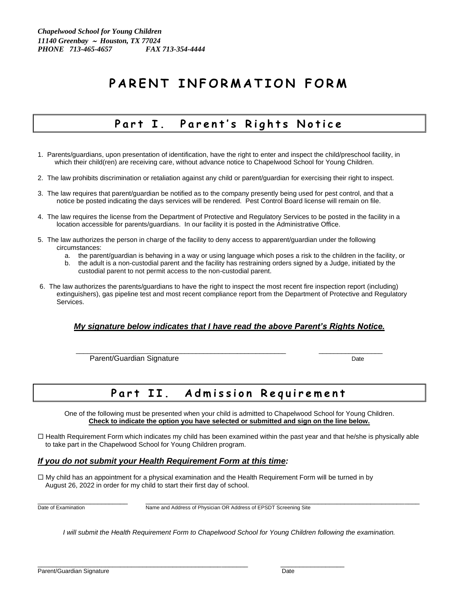# PARENT INFORMATION FORM

### Part I. Parent's Rights Notice

- 1. Parents/guardians, upon presentation of identification, have the right to enter and inspect the child/preschool facility, in which their child(ren) are receiving care, without advance notice to Chapelwood School for Young Children.
- 2. The law prohibits discrimination or retaliation against any child or parent/guardian for exercising their right to inspect.
- 3. The law requires that parent/guardian be notified as to the company presently being used for pest control, and that a notice be posted indicating the days services will be rendered. Pest Control Board license will remain on file.
- 4. The law requires the license from the Department of Protective and Regulatory Services to be posted in the facility in a location accessible for parents/guardians. In our facility it is posted in the Administrative Office.
- 5. The law authorizes the person in charge of the facility to deny access to apparent/guardian under the following circumstances:
	- a. the parent/guardian is behaving in a way or using language which poses a risk to the children in the facility, or
	- b. the adult is a non-custodial parent and the facility has restraining orders signed by a Judge, initiated by the custodial parent to not permit access to the non-custodial parent.
- 6. The law authorizes the parents/guardians to have the right to inspect the most recent fire inspection report (including) extinguishers), gas pipeline test and most recent compliance report from the Department of Protective and Regulatory Services.

#### *My signature below indicates that I have read the above Parent's Rights Notice.*

\_\_\_\_\_\_\_\_\_\_\_\_\_\_\_\_\_\_\_\_\_\_\_\_\_\_\_\_\_\_\_\_\_\_\_\_\_\_\_\_\_\_\_\_\_\_\_\_\_\_\_\_\_\_\_\_ \_\_\_\_\_\_\_\_\_\_\_\_\_\_\_\_\_

Parent/Guardian Signature **Date** Date of *Date* Date Date

### Part II. Admission Requirement

One of the following must be presented when your child is admitted to Chapelwood School for Young Children. **Check to indicate the option you have selected or submitted and sign on the line below.**

 Health Requirement Form which indicates my child has been examined within the past year and that he/she is physically able to take part in the Chapelwood School for Young Children program.

#### *If you do not submit your Health Requirement Form at this time:*

 $\Box$  My child has an appointment for a physical examination and the Health Requirement Form will be turned in by August 26, 2022 in order for my child to start their first day of school.

\_\_\_\_\_\_\_\_\_\_\_\_\_\_\_\_\_\_\_\_\_\_\_\_\_\_\_\_\_\_\_\_\_\_\_\_\_\_\_\_\_\_\_\_\_\_\_\_\_\_\_\_\_\_\_\_ \_\_\_\_\_\_\_\_\_\_\_\_\_\_\_\_\_

 $\_$  ,  $\_$  ,  $\_$  ,  $\_$  ,  $\_$  ,  $\_$  ,  $\_$  ,  $\_$  ,  $\_$  ,  $\_$  ,  $\_$  ,  $\_$  ,  $\_$  ,  $\_$  ,  $\_$  ,  $\_$  ,  $\_$  ,  $\_$  ,  $\_$  ,  $\_$  ,  $\_$  ,  $\_$  ,  $\_$  ,  $\_$  ,  $\_$  ,  $\_$  ,  $\_$  ,  $\_$  ,  $\_$  ,  $\_$  ,  $\_$  ,  $\_$  ,  $\_$  ,  $\_$  ,  $\_$  ,  $\_$  ,  $\_$  , Date of Examination Name and Address of Physician OR Address of EPSDT Screening Site

*I will submit the Health Requirement Form to Chapelwood School for Young Children following the examination.*